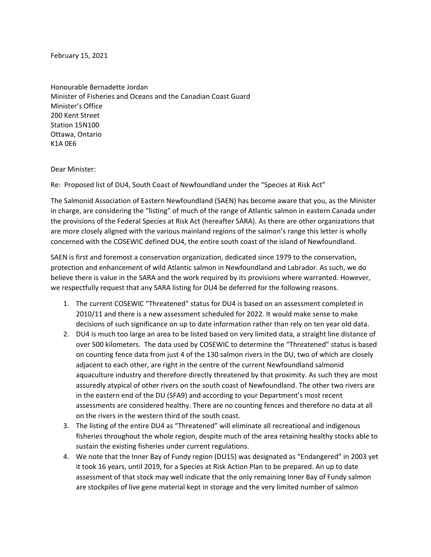February 15, 2021

Honourable Bernadette Jordan Minister of Fisheries and Oceans and the Canadian Coast Guard Minister's Office 200 Kent Street Station 15N100 Ottawa, Ontario K1A 0E6

Dear Minister:

Re: Proposed list of DU4, South Coast of Newfoundland under the "Species at Risk Act"

The Salmonid Association of Eastern Newfoundland (SAEN) has become aware that you, as the Minister in charge, are considering the "listing" of much of the range of Atlantic salmon in eastern Canada under the provisions of the Federal Species at Risk Act (hereafter SARA). As there are other organizations that are more closely aligned with the various mainland regions of the salmon's range this letter is wholly concerned with the COSEWIC defined DU4, the entire south coast of the island of Newfoundland.

SAEN is first and foremost a conservation organization, dedicated since 1979 to the conservation, protection and enhancement of wild Atlantic salmon in Newfoundland and Labrador. As such, we do believe there is value in the SARA and the work required by its provisions where warranted. However, we respectfully request that any SARA listing for DU4 be deferred for the following reasons.

- 1. The current COSEWIC "Threatened" status for DU4 is based on an assessment completed in 2010/11 and there is a new assessment scheduled for 2022. It would make sense to make decisions of such significance on up to date information rather than rely on ten year old data.
- 2. DU4 is much too large an area to be listed based on very limited data, a straight line distance of over 500 kilometers. The data used by COSEWIC to determine the "Threatened" status is based on counting fence data from just 4 of the 130 salmon rivers in the DU, two of which are closely adjacent to each other, are right in the centre of the current Newfoundland salmonid aquaculture industry and therefore directly threatened by that proximity. As such they are most assuredly atypical of other rivers on the south coast of Newfoundland. The other two rivers are in the eastern end of the DU (SFA9) and according to your Department's most recent assessments are considered healthy. There are no counting fences and therefore no data at all on the rivers in the western third of the south coast.
- 3. The listing of the entire DU4 as "Threatened" will eliminate all recreational and indigenous fisheries throughout the whole region, despite much of the area retaining healthy stocks able to sustain the existing fisheries under current regulations.
- 4. We note that the Inner Bay of Fundy region (DU15) was designated as "Endangered" in 2003 yet it took 16 years, until 2019, for a Species at Risk Action Plan to be prepared. An up to date assessment of that stock may well indicate that the only remaining Inner Bay of Fundy salmon are stockpiles of live gene material kept in storage and the very limited number of salmon